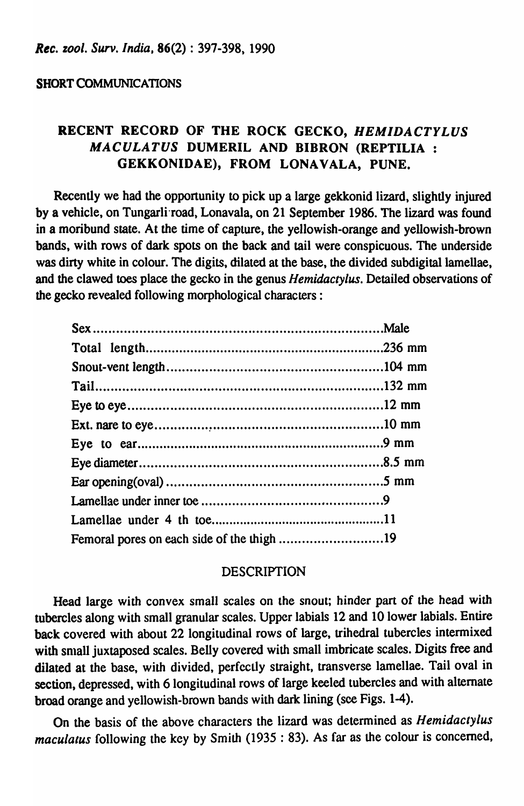### **SHORT COMMUNICATIONS**

# RECENT RECORD OF THE ROCK GECKO, HEMIDACTYLUS MACULATUS DUMERIL AND BIBRON (REPTILIA : GEKKONIDAE), FROM LONAVALA, PUNE.

Recently we had the opportunity to pick up a large gekkonid lizard, slightly injured by a vehicle, on Tungarli road, Lonavala, on 21 September 1986. The lizard was found in a moribund state. At the time of capture, the yellowish-orange and yellowish-brown bands, with rows of dark spots on the back and tail were conspicuous. The underside was dirty white in colour. The digits, dilated at the base, the divided subdigital lamellae, and the clawed toes place the gecko in the genus *Hemidactylus*. Detailed observations of the gecko revealed following morphological characters:

### **DESCRIPTION**

Head large with convex small scales on the snout; hinder part of the head with tubercles along with small granular scales. Upper labials 12 and 10 lower labials. Entire back covered with about 22 longitudinal rows of large, trihedral tubercles intermixed with small juxtaposed scales. Belly covered with small imbricate scales. Digits free and dilated at the base, with divided, perfectly straight, transverse lamellae. Tail oval in section, depressed, with 6 longitudinal rows of large keeled tubercles and with alternate broad orange and yellowish-brown bands with dark lining (see Figs. 1-4).

On the basis of the above characters the lizard was determined as *Hemidactylus* maculatus following the key by Smith (1935 : 83). As far as the colour is concerned,